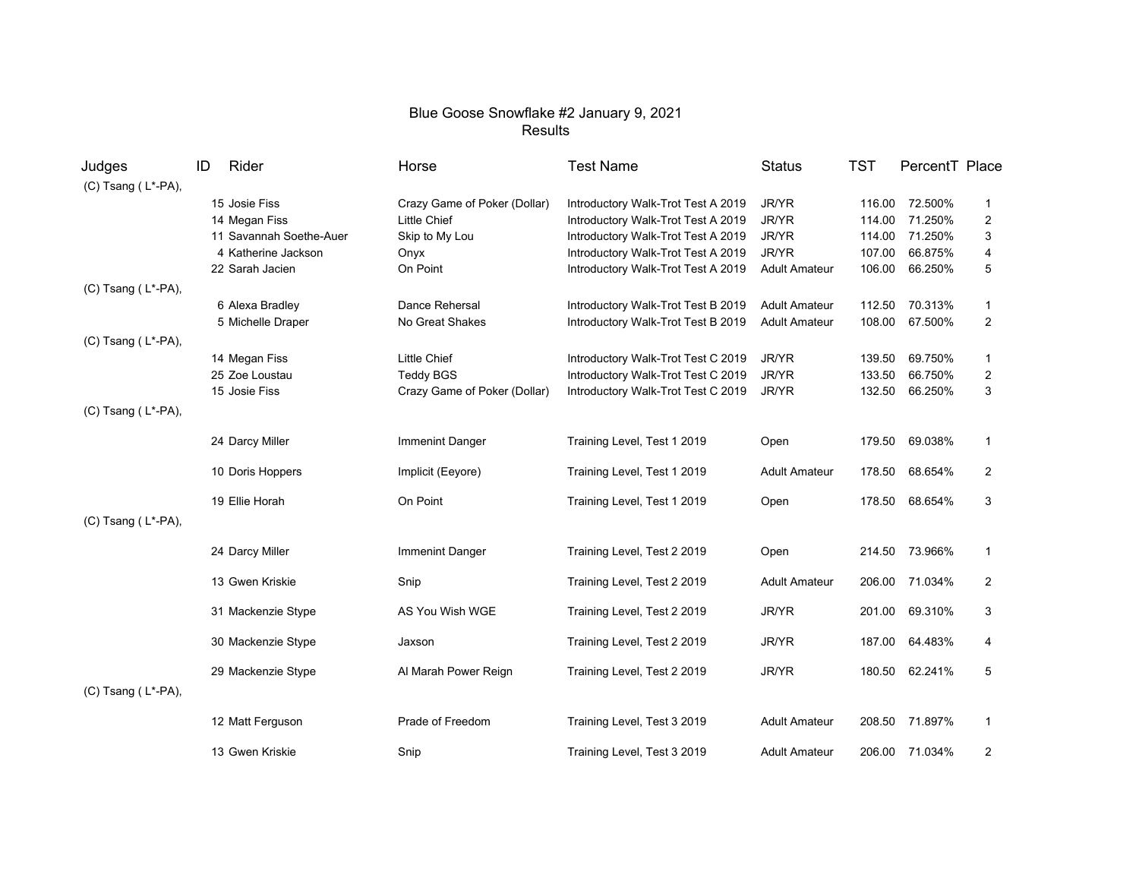## Blue Goose Snowflake #2 January 9, 2021 Results

| Judges                   | Rider<br>ID             | Horse                        | <b>Test Name</b>                   | <b>Status</b>        | <b>TST</b> | PercentT Place |                         |
|--------------------------|-------------------------|------------------------------|------------------------------------|----------------------|------------|----------------|-------------------------|
| (C) Tsang (L*-PA),       |                         |                              |                                    |                      |            |                |                         |
|                          | 15 Josie Fiss           | Crazy Game of Poker (Dollar) | Introductory Walk-Trot Test A 2019 | JR/YR                |            | 116.00 72.500% | $\mathbf{1}$            |
|                          | 14 Megan Fiss           | <b>Little Chief</b>          | Introductory Walk-Trot Test A 2019 | JR/YR                | 114.00     | 71.250%        | $\overline{\mathbf{c}}$ |
|                          | 11 Savannah Soethe-Auer | Skip to My Lou               | Introductory Walk-Trot Test A 2019 | JR/YR                | 114.00     | 71.250%        | 3                       |
|                          | 4 Katherine Jackson     | Onyx                         | Introductory Walk-Trot Test A 2019 | JR/YR                | 107.00     | 66.875%        | 4                       |
|                          | 22 Sarah Jacien         | On Point                     | Introductory Walk-Trot Test A 2019 | <b>Adult Amateur</b> | 106.00     | 66.250%        | $\mathbf 5$             |
| $(C)$ Tsang $(L^*$ -PA), |                         |                              |                                    |                      |            |                |                         |
|                          | 6 Alexa Bradley         | Dance Rehersal               | Introductory Walk-Trot Test B 2019 | <b>Adult Amateur</b> | 112.50     | 70.313%        | $\mathbf{1}$            |
|                          | 5 Michelle Draper       | No Great Shakes              | Introductory Walk-Trot Test B 2019 | <b>Adult Amateur</b> | 108.00     | 67.500%        | 2                       |
| (C) Tsang (L*-PA),       |                         |                              |                                    |                      |            |                |                         |
|                          | 14 Megan Fiss           | <b>Little Chief</b>          | Introductory Walk-Trot Test C 2019 | JR/YR                | 139.50     | 69.750%        | $\mathbf 1$             |
|                          | 25 Zoe Loustau          | <b>Teddy BGS</b>             | Introductory Walk-Trot Test C 2019 | JR/YR                | 133.50     | 66.750%        | $\overline{\mathbf{c}}$ |
|                          | 15 Josie Fiss           | Crazy Game of Poker (Dollar) | Introductory Walk-Trot Test C 2019 | JR/YR                | 132.50     | 66.250%        | 3                       |
| (C) Tsang (L*-PA),       |                         |                              |                                    |                      |            |                |                         |
|                          | 24 Darcy Miller         | <b>Immenint Danger</b>       | Training Level, Test 1 2019        | Open                 | 179.50     | 69.038%        | $\mathbf{1}$            |
|                          | 10 Doris Hoppers        | Implicit (Eeyore)            | Training Level, Test 1 2019        | <b>Adult Amateur</b> | 178.50     | 68.654%        | 2                       |
|                          | 19 Ellie Horah          | On Point                     | Training Level, Test 1 2019        | Open                 | 178.50     | 68.654%        | 3                       |
| (C) Tsang (L*-PA),       |                         |                              |                                    |                      |            |                |                         |
|                          | 24 Darcy Miller         | Immenint Danger              | Training Level, Test 2 2019        | Open                 |            | 214.50 73.966% | $\overline{1}$          |
|                          | 13 Gwen Kriskie         | Snip                         | Training Level, Test 2 2019        | <b>Adult Amateur</b> | 206.00     | 71.034%        | 2                       |
|                          | 31 Mackenzie Stype      | AS You Wish WGE              | Training Level, Test 2 2019        | JR/YR                | 201.00     | 69.310%        | 3                       |
|                          | 30 Mackenzie Stype      | Jaxson                       | Training Level, Test 2 2019        | JR/YR                | 187.00     | 64.483%        | 4                       |
|                          | 29 Mackenzie Stype      | Al Marah Power Reign         | Training Level, Test 2 2019        | JR/YR                | 180.50     | 62.241%        | 5                       |
| (C) Tsang (L*-PA),       |                         |                              |                                    |                      |            |                |                         |
|                          | 12 Matt Ferguson        | Prade of Freedom             | Training Level, Test 3 2019        | <b>Adult Amateur</b> | 208.50     | 71.897%        | $\mathbf{1}$            |
|                          | 13 Gwen Kriskie         | Snip                         | Training Level, Test 3 2019        | <b>Adult Amateur</b> |            | 206.00 71.034% | 2                       |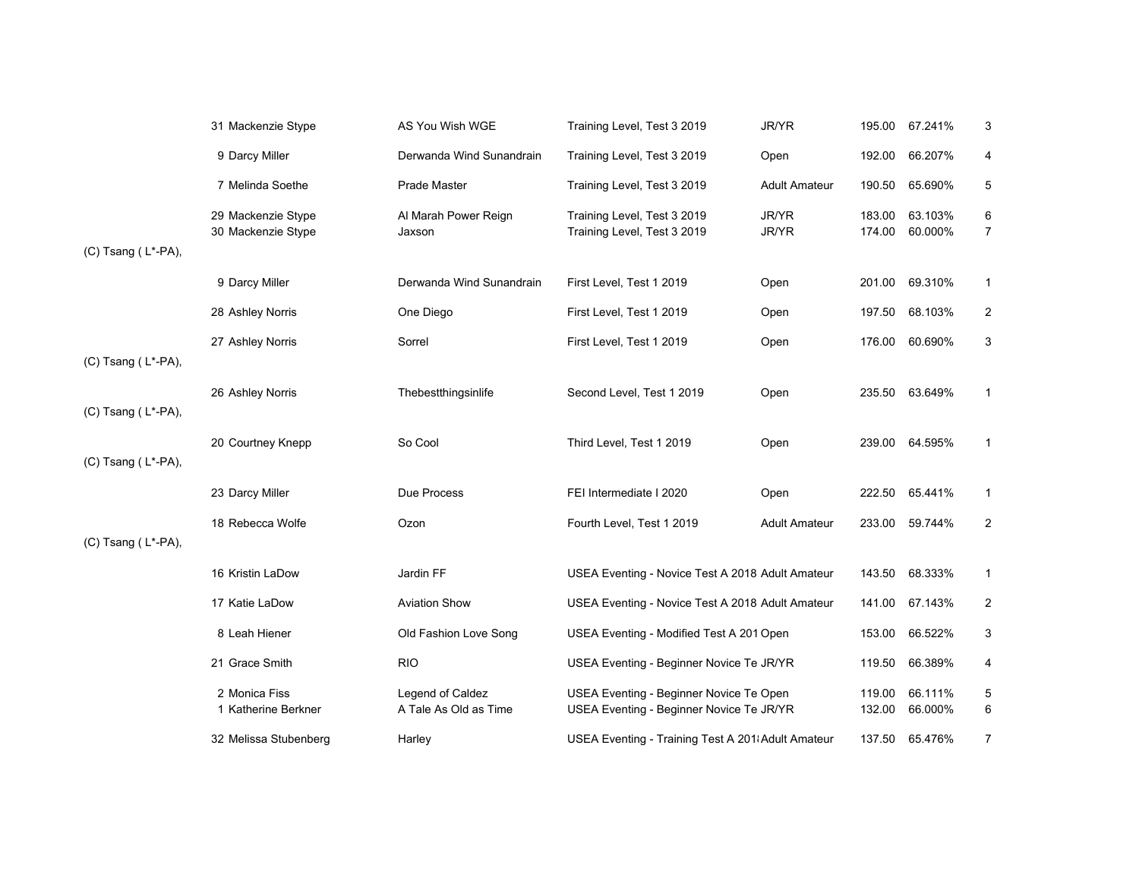|                    | 31 Mackenzie Stype                       | AS You Wish WGE                           | Training Level, Test 3 2019                                                         | JR/YR                | 195.00           | 67.241%            | 3                       |
|--------------------|------------------------------------------|-------------------------------------------|-------------------------------------------------------------------------------------|----------------------|------------------|--------------------|-------------------------|
|                    | 9 Darcy Miller                           | Derwanda Wind Sunandrain                  | Training Level, Test 3 2019                                                         | Open                 | 192.00           | 66.207%            | 4                       |
|                    | 7 Melinda Soethe                         | Prade Master                              | Training Level, Test 3 2019                                                         | <b>Adult Amateur</b> | 190.50           | 65.690%            | 5                       |
| (C) Tsang (L*-PA), | 29 Mackenzie Stype<br>30 Mackenzie Stype | Al Marah Power Reign<br>Jaxson            | Training Level, Test 3 2019<br>Training Level, Test 3 2019                          | JR/YR<br>JR/YR       | 183.00<br>174.00 | 63.103%<br>60.000% | 6<br>$\overline{7}$     |
|                    | 9 Darcy Miller                           | Derwanda Wind Sunandrain                  | First Level, Test 1 2019                                                            | Open                 | 201.00           | 69.310%            | $\mathbf{1}$            |
|                    | 28 Ashley Norris                         | One Diego                                 | First Level, Test 1 2019                                                            | Open                 | 197.50           | 68.103%            | $\overline{2}$          |
| (C) Tsang (L*-PA), | 27 Ashley Norris                         | Sorrel                                    | First Level, Test 1 2019                                                            | Open                 | 176.00           | 60.690%            | 3                       |
| (C) Tsang (L*-PA), | 26 Ashley Norris                         | Thebestthingsinlife                       | Second Level, Test 1 2019                                                           | Open                 | 235.50           | 63.649%            | $\mathbf{1}$            |
| (C) Tsang (L*-PA), | 20 Courtney Knepp                        | So Cool                                   | Third Level, Test 1 2019                                                            | Open                 | 239.00           | 64.595%            | $\mathbf{1}$            |
|                    | 23 Darcy Miller                          | Due Process                               | FEI Intermediate I 2020                                                             | Open                 | 222.50           | 65.441%            | $\mathbf{1}$            |
| (C) Tsang (L*-PA), | 18 Rebecca Wolfe                         | Ozon                                      | Fourth Level, Test 1 2019                                                           | <b>Adult Amateur</b> | 233.00           | 59.744%            | $\overline{c}$          |
|                    | 16 Kristin LaDow                         | Jardin FF                                 | USEA Eventing - Novice Test A 2018 Adult Amateur                                    |                      | 143.50           | 68.333%            | $\mathbf{1}$            |
|                    | 17 Katie LaDow                           | <b>Aviation Show</b>                      | USEA Eventing - Novice Test A 2018 Adult Amateur                                    |                      | 141.00           | 67.143%            | $\overline{\mathbf{c}}$ |
|                    | 8 Leah Hiener                            | Old Fashion Love Song                     | USEA Eventing - Modified Test A 201 Open                                            |                      | 153.00           | 66.522%            | 3                       |
|                    | 21 Grace Smith                           | <b>RIO</b>                                | USEA Eventing - Beginner Novice Te JR/YR                                            |                      | 119.50           | 66.389%            | 4                       |
|                    | 2 Monica Fiss<br>1 Katherine Berkner     | Legend of Caldez<br>A Tale As Old as Time | USEA Eventing - Beginner Novice Te Open<br>USEA Eventing - Beginner Novice Te JR/YR |                      | 119.00<br>132.00 | 66.111%<br>66.000% | 5<br>6                  |
|                    | 32 Melissa Stubenberg                    | Harley                                    | USEA Eventing - Training Test A 201 Adult Amateur                                   |                      | 137.50           | 65.476%            | $\overline{7}$          |